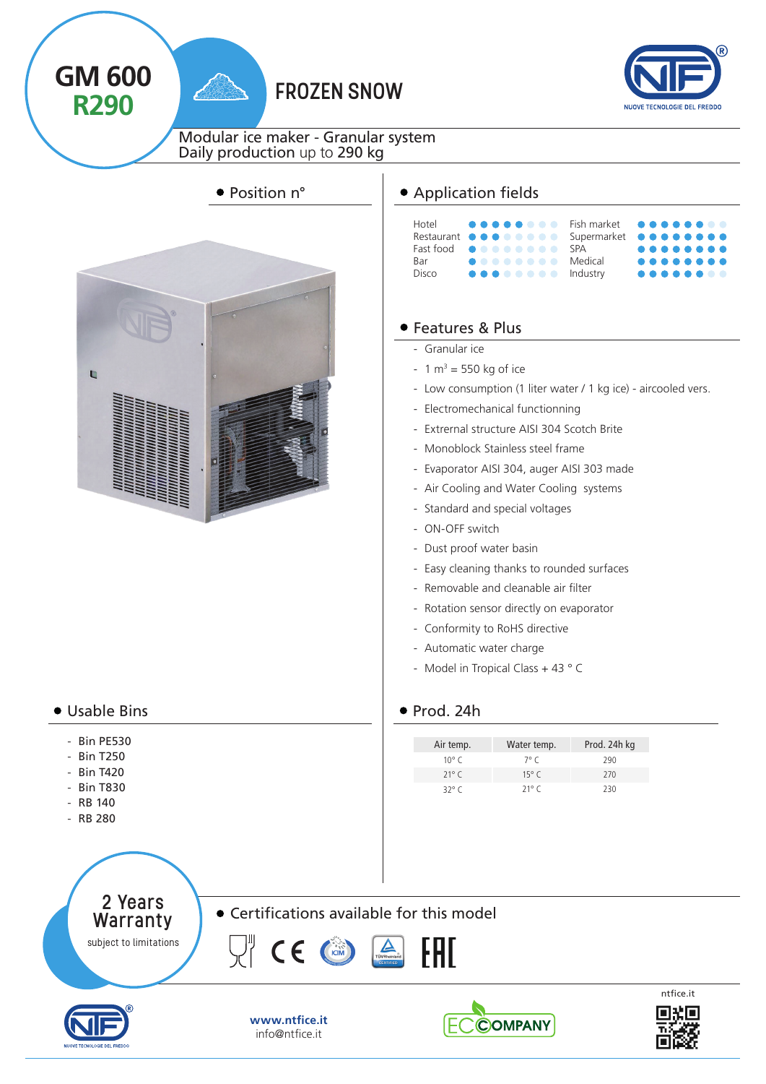

2 Years Warranty subject to limitations

Certifications available for this model